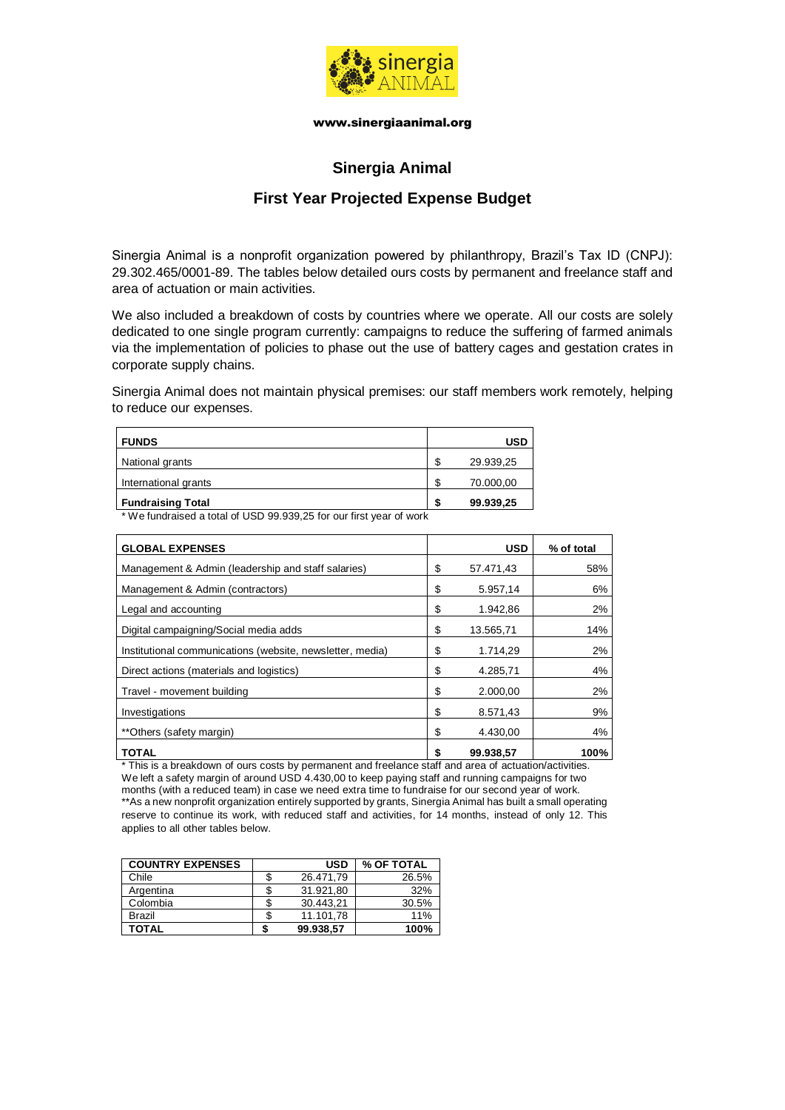

# **Sinergia Animal**

## **First Year Projected Expense Budget**

Sinergia Animal is a nonprofit organization powered by philanthropy, Brazil's Tax ID (CNPJ): 29.302.465/0001-89. The tables below detailed ours costs by permanent and freelance staff and area of actuation or main activities.

We also included a breakdown of costs by countries where we operate. All our costs are solely dedicated to one single program currently: campaigns to reduce the suffering of farmed animals via the implementation of policies to phase out the use of battery cages and gestation crates in corporate supply chains.

Sinergia Animal does not maintain physical premises: our staff members work remotely, helping to reduce our expenses.

| <b>FUNDS</b>             |         | <b>USD</b> |
|--------------------------|---------|------------|
| National grants          | œ<br>۰D | 29.939,25  |
| International grants     | ᠬ       | 70.000,00  |
| <b>Fundraising Total</b> | л       | 99.939,25  |

\* We fundraised a total of USD 99.939,25 for our first year of work

| <b>GLOBAL EXPENSES</b>                                    | <b>USD</b>      | % of total |
|-----------------------------------------------------------|-----------------|------------|
| Management & Admin (leadership and staff salaries)        | \$<br>57.471,43 | 58%        |
| Management & Admin (contractors)                          | \$<br>5.957,14  | 6%         |
| Legal and accounting                                      | \$<br>1.942,86  | 2%         |
| Digital campaigning/Social media adds                     | \$<br>13.565,71 | 14%        |
| Institutional communications (website, newsletter, media) | \$<br>1.714,29  | 2%         |
| Direct actions (materials and logistics)                  | \$<br>4.285,71  | 4%         |
| Travel - movement building                                | \$<br>2.000.00  | 2%         |
| Investigations                                            | \$<br>8.571.43  | 9%         |
| **Others (safety margin)                                  | \$<br>4.430.00  | 4%         |
| <b>TOTAL</b>                                              | \$<br>99.938.57 | 100%       |

\* This is a breakdown of ours costs by permanent and freelance staff and area of actuation/activities. We left a safety margin of around USD 4.430,00 to keep paying staff and running campaigns for two months (with a reduced team) in case we need extra time to fundraise for our second year of work. \*\*As a new nonprofit organization entirely supported by grants, Sinergia Animal has built a small operating reserve to continue its work, with reduced staff and activities, for 14 months, instead of only 12. This applies to all other tables below.

| <b>COUNTRY EXPENSES</b> |   | <b>USD</b> | % OF TOTAL |
|-------------------------|---|------------|------------|
| Chile                   | S | 26.471.79  | 26.5%      |
| Argentina               | S | 31.921.80  | 32%        |
| Colombia                | S | 30.443.21  | 30.5%      |
| Brazil                  | S | 11.101.78  | 11%        |
| TOTAL                   |   | 99.938.57  | 100%       |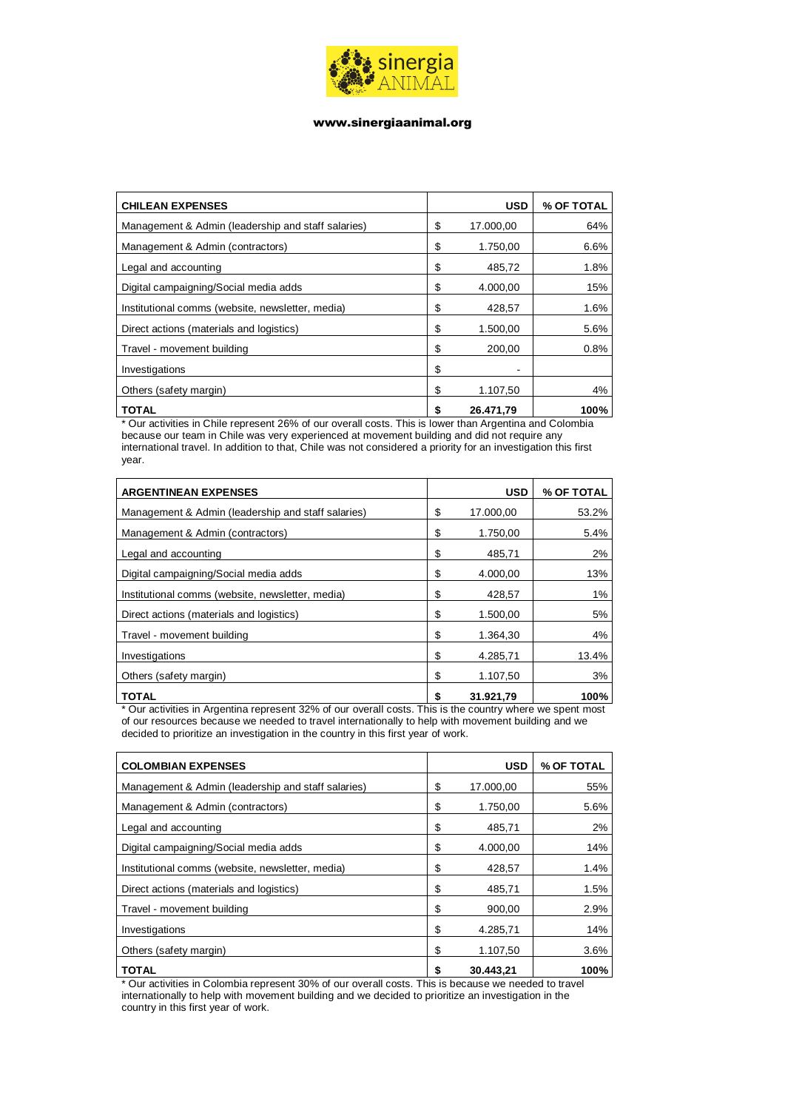

| <b>CHILEAN EXPENSES</b>                            | <b>USD</b>      | % OF TOTAL |
|----------------------------------------------------|-----------------|------------|
| Management & Admin (leadership and staff salaries) | \$<br>17.000,00 | 64%        |
| Management & Admin (contractors)                   | \$<br>1.750.00  | 6.6%       |
| Legal and accounting                               | \$<br>485,72    | 1.8%       |
| Digital campaigning/Social media adds              | \$<br>4.000.00  | 15%        |
| Institutional comms (website, newsletter, media)   | \$<br>428,57    | 1.6%       |
| Direct actions (materials and logistics)           | \$<br>1.500,00  | 5.6%       |
| Travel - movement building                         | \$<br>200.00    | 0.8%       |
| Investigations                                     | \$              |            |
| Others (safety margin)                             | \$<br>1.107,50  | 4%         |
| <b>TOTAL</b>                                       | \$<br>26.471.79 | 100%       |

\* Our activities in Chile represent 26% of our overall costs. This is lower than Argentina and Colombia because our team in Chile was very experienced at movement building and did not require any international travel. In addition to that, Chile was not considered a priority for an investigation this first year.

| <b>ARGENTINEAN EXPENSES</b>                        | <b>USD</b>      | % OF TOTAL |
|----------------------------------------------------|-----------------|------------|
| Management & Admin (leadership and staff salaries) | \$<br>17.000.00 | 53.2%      |
| Management & Admin (contractors)                   | \$<br>1.750,00  | 5.4%       |
| Legal and accounting                               | \$<br>485.71    | $2\%$      |
| Digital campaigning/Social media adds              | \$<br>4.000.00  | 13%        |
| Institutional comms (website, newsletter, media)   | \$<br>428,57    | 1%         |
| Direct actions (materials and logistics)           | \$<br>1.500,00  | 5%         |
| Travel - movement building                         | \$<br>1.364.30  | 4%         |
| Investigations                                     | \$<br>4.285.71  | 13.4%      |
| Others (safety margin)                             | \$<br>1.107,50  | 3%         |
| <b>TOTAL</b>                                       | \$<br>31.921.79 | 100%       |

\* Our activities in Argentina represent 32% of our overall costs. This is the country where we spent most of our resources because we needed to travel internationally to help with movement building and we decided to prioritize an investigation in the country in this first year of work.

| <b>COLOMBIAN EXPENSES</b>                          | <b>USD</b>      | % OF TOTAL |
|----------------------------------------------------|-----------------|------------|
| Management & Admin (leadership and staff salaries) | \$<br>17.000.00 | 55%        |
| Management & Admin (contractors)                   | \$<br>1.750,00  | 5.6%       |
| Legal and accounting                               | \$<br>485,71    | $2\%$      |
| Digital campaigning/Social media adds              | \$<br>4.000.00  | 14%        |
| Institutional comms (website, newsletter, media)   | \$<br>428,57    | 1.4%       |
| Direct actions (materials and logistics)           | \$<br>485.71    | 1.5%       |
| Travel - movement building                         | \$<br>900,00    | 2.9%       |
| Investigations                                     | \$<br>4.285,71  | 14%        |
| Others (safety margin)                             | \$<br>1.107,50  | 3.6%       |
| <b>TOTAL</b>                                       | \$<br>30.443.21 | 100%       |

\* Our activities in Colombia represent 30% of our overall costs. This is because we needed to travel internationally to help with movement building and we decided to prioritize an investigation in the country in this first year of work.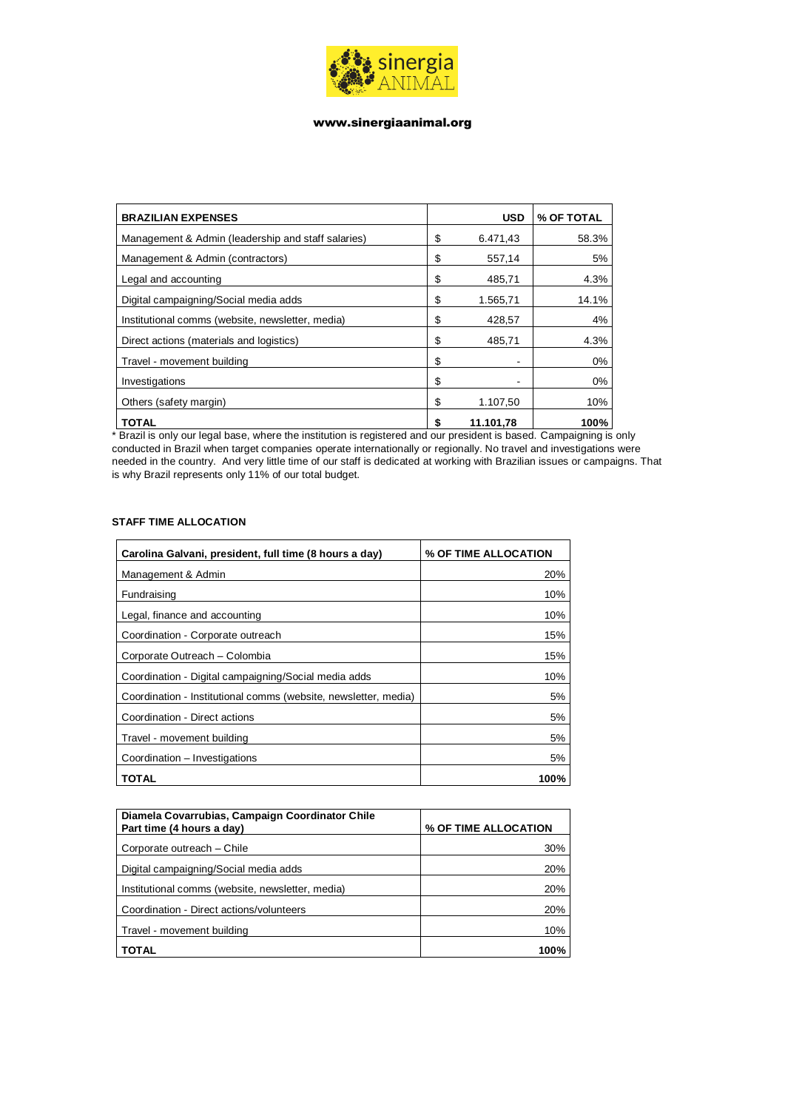

| <b>BRAZILIAN EXPENSES</b>                          | <b>USD</b>      | % OF TOTAL |
|----------------------------------------------------|-----------------|------------|
| Management & Admin (leadership and staff salaries) | \$<br>6.471.43  | 58.3%      |
| Management & Admin (contractors)                   | \$<br>557,14    | 5%         |
| Legal and accounting                               | \$<br>485,71    | 4.3%       |
| Digital campaigning/Social media adds              | \$<br>1.565,71  | 14.1%      |
| Institutional comms (website, newsletter, media)   | \$<br>428,57    | 4%         |
| Direct actions (materials and logistics)           | \$<br>485.71    | 4.3%       |
| Travel - movement building                         | \$              | 0%         |
| Investigations                                     | \$              | 0%         |
| Others (safety margin)                             | \$<br>1.107.50  | 10%        |
| <b>TOTAL</b>                                       | \$<br>11.101.78 | 100%       |

\* Brazil is only our legal base, where the institution is registered and our president is based. Campaigning is only conducted in Brazil when target companies operate internationally or regionally. No travel and investigations were needed in the country. And very little time of our staff is dedicated at working with Brazilian issues or campaigns. That is why Brazil represents only 11% of our total budget.

| Carolina Galvani, president, full time (8 hours a day)          | % OF TIME ALLOCATION |
|-----------------------------------------------------------------|----------------------|
| Management & Admin                                              | 20%                  |
| Fundraising                                                     | 10%                  |
| Legal, finance and accounting                                   | 10%                  |
| Coordination - Corporate outreach                               | 15%                  |
| Corporate Outreach - Colombia                                   | 15%                  |
| Coordination - Digital campaigning/Social media adds            | 10%                  |
| Coordination - Institutional comms (website, newsletter, media) | 5%                   |
| Coordination - Direct actions                                   | 5%                   |
| Travel - movement building                                      | 5%                   |
| Coordination - Investigations                                   | 5%                   |
| TOTAL                                                           | 100%                 |

#### **STAFF TIME ALLOCATION**

| Diamela Covarrubias, Campaign Coordinator Chile<br>Part time (4 hours a day) | % OF TIME ALLOCATION |
|------------------------------------------------------------------------------|----------------------|
| Corporate outreach - Chile                                                   | 30%                  |
| Digital campaigning/Social media adds                                        | 20%                  |
| Institutional comms (website, newsletter, media)                             | 20%                  |
| Coordination - Direct actions/volunteers                                     | 20%                  |
| Travel - movement building                                                   | 10%                  |
| TOTAL                                                                        | 100%                 |